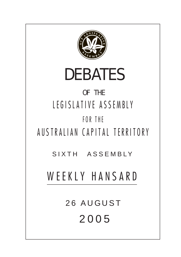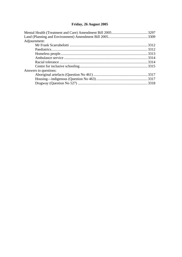# **[Friday, 26 August 2005](#page-2-0)**

| Adjournment:          |  |
|-----------------------|--|
|                       |  |
|                       |  |
|                       |  |
|                       |  |
|                       |  |
|                       |  |
| Answers to questions: |  |
|                       |  |
|                       |  |
|                       |  |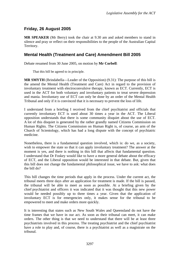# <span id="page-2-0"></span>**Friday, 26 August 2005**

**MR SPEAKER** (Mr Berry) took the chair at 9.30 am and asked members to stand in silence and pray or reflect on their responsibilities to the people of the Australian Capital Territory.

## **Mental Health (Treatment and Care) Amendment Bill 2005**

Debate resumed from 30 June 2005, on motion by **Mr Corbell**:

That this bill be agreed to in principle.

**MR SMYTH** (Brindabella—Leader of the Opposition) (9.31): The purpose of this bill is the amend the Mental Health (Treatment and Care) Act in regard to the provision of involuntary treatment with electroconvulsive therapy, known as ECT. Currently, ECT is used in the ACT for both voluntary and involuntary patients to treat severe depression and mania. Involuntary use of ECT can only be done by an order of the Mental Health Tribunal and only if it is convinced that it is necessary to prevent the loss of life.

I understand from a briefing I received from the chief psychiatrist and officials that currently involuntary ECT is used about 30 times a year in the ACT. The Liberal opposition understands that there is some community disquiet about the use of ECT. A lot of this disquiet is generated by the rather grandly named Citizens Commission on Human Rights. The Citizens Commission on Human Right is, of course, an arm of the Church of Scientology, which has had a long dispute with the concept of psychiatric medicine.

Nonetheless, there is a fundamental question involved, which is: do we, as a society, wish to empower the state so that it can apply involuntary treatment? The answer at the moment is yes, and there is nothing in this bill that affects that fundamental question. I understand that Dr Foskey would like to have a more general debate about the efficacy of ECT, and the Liberal opposition would be interested in that debate. But, given that this bill does not change the fundamental philosophical issue, we have to ask: what does the bill do?

This bill changes the time periods that apply in the process. Under the current act, the tribunal meets three days after an application for treatment is made. If the bill is passed, the tribunal will be able to meet as soon as possible. At a briefing given by the chief psychiatrist and officers it was indicated that it was thought that this new power would be needed possibly up to three times a year. Given that the application of involuntary ECT is for emergencies only, it makes sense for the tribunal to be empowered to meet and make orders more quickly.

It is interesting that states such as New South Wales and Queensland do not have the time frames that we have in our act. As soon as their tribunal can meet, it can make orders. The other thing is that we need to understand that there will be at least three psychiatrists involved in this process. The treating psychiatrist and the chief psychiatrist have a role to play and, of course, there is a psychiatrist as well as a magistrate on the tribunal.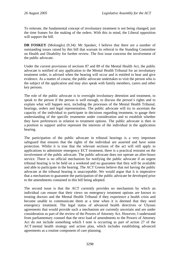To reiterate, the fundamental concept of involuntary treatment is not being changed; just the time frames for the making of the orders. With this in mind, the Liberal opposition will support the bill.

**DR FOSKEY** (Molonglo) (9.34): Mr Speaker, I believe that there are a number of outstanding issues raised by this bill that warrant its referral to the Standing Committee on Health and Disability for further review. The first issue concerns the involvement of the public advocate.

Under the current provisions of sections 87 and 89 of the Mental Health Act, the public advocate is notified of any application to the Mental Health Tribunal for an involuntary treatment order, is advised when the hearing will occur and is entitled to hear and give evidence. As a matter of course, the public advocate undertakes to visit the person who is the subject of the application and may also speak with family members, carers and other key persons.

The role of the public advocate is to oversight involuntary detention and treatment, to speak to the person if the person is well enough, to discuss the person's rights and to explain what will happen next, including the processes of the Mental Health Tribunal, hearings, orders and legal representation. The public advocate will try to ascertain the capacity of the individual to participate in decisions regarding treatment, to gauge their understanding of the specific treatments under consideration and to establish whether they have preferences in relation to treatment options. The public advocate is then in a position to support and/or represent the interests of the individual in the application hearing.

The participation of the public advocate in tribunal hearings is a very important safeguard that ensures that the rights of the individual are asserted and have some protection. Whilst it is true that the relevant sections of the act will still apply to applications to administer emergency ECT treatment, there is a practical restraint on the involvement of the public advocate. The public advocate does not operate an after-hours service. There is no official mechanism for notifying the public advocate if an urgent tribunal hearing is to be held on a weekend and no guarantee that they will be available and able to participate in the hearing. The ACT Greens believe that not having the public advocate at the tribunal hearing is unacceptable. We would argue that it is imperative that a mechanism to guarantee the participation of the public advocate be developed prior to the amendments contained in this bill being adopted.

The second issue is that the ACT currently provides no mechanism by which an individual can ensure that their views on emergency treatment options are known to treating doctors and the Mental Health Tribunal if they experience a health crisis and become unable to communicate them at a time when it is deemed that they need emergency treatment. The legal status of advanced health directives or Ulysses agreements that would provide such a mechanism are currently uncertain and are under consideration as part of the review of the Powers of Attorney Act. However, I understand from parliamentary counsel that the next load of amendments to the Powers of Attorney Act do not include something which I note is occurring as part of action 27 of the ACT mental health strategy and action plan, which includes establishing advanced agreements as a routine component of care planning.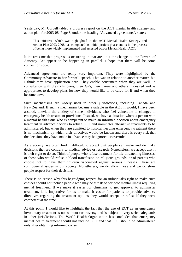Yesterday, Mr Corbell tabled a progress report on the ACT mental health strategy and action plan for 2003-08. Page 3, under the heading "Advanced agreements", states:

This initiative, which was highlighted in the ACT Mental Health Strategy and Action Plan 2003-2008 has completed its initial project phase and is in the process of being more widely implemented and assessed across Mental Health ACT.

It interests me that progress is occurring in that area, but the changes to the Powers of Attorney Act appear to be happening in parallel. I hope that there will be some connection soon.

Advanced agreements are really very important. They were highlighted by the Community Advocate in her farewell speech. That was in relation to another matter, but I think they have application here. They enable consumers when they are well, in consultation with their clinicians, their GPs, their carers and others if desired and as appropriate, to develop plans for how they would like to be cared for if and when they become unwell.

Such mechanisms are widely used in other jurisdictions, including Canada and New Zealand. If such a mechanism became available in the ACT it would, I have been assured, alleviate the anxiety of some individuals who feel vulnerable to changes in emergency health treatment provisions. Instead, we have a situation where a person with a mental health issue who is competent to make an informed decision about emergency treatment in advance decides to refuse ECT and nominates alternative treatments to be administered, but when they are admitted to hospital needing emergency treatment there is no mechanism by which their directives would be known and there is every risk that the decisions they have made in advance may be ignored or overruled.

As a society, we often find it difficult to accept that people can make and do make decisions that are contrary to medical advice or research. Nonetheless, we accept that it is their right to do so. Think of people who refuse treatment for life-threatening illnesses, of those who would refuse a blood transfusion on religious grounds, or of parents who choose not to have their children vaccinated against serious illnesses. These are controversial issues in our society. Nonetheless, we do allow those and we do show people respect for their decisions.

There is no reason why this begrudging respect for an individual's right to make such choices should not include people who may be at risk of periodic mental illness requiring mental treatment. If we make it easier for clinicians to get approval to administer treatment, it is imperative for us to make it easier for patients to provide advance directives regarding the treatment options they would accept or refuse if they were competent at the time.

At this point, I would like to highlight the fact that the use of ECT as an emergency involuntary treatment is not without controversy and is subject to very strict safeguards in other jurisdictions. The World Health Organisation has concluded that emergency mental health treatment should not include ECT and that ECT should be administered only after obtaining informed consent.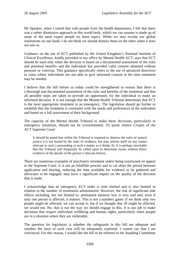Mr Speaker, when I raised that with people from the health department, I felt that there was a rather dismissive approach to this world body, which we can assume is made up of some of the most expert people on these topics. While we may invoke our global institutions on one hand, I do not think we should dismiss them on the other when it does not suit us.

Guidance on the use of ECT published by the United Kingdom's National Institute of Clinical Excellence, kindly provided to my office by Mental Health ACT, says that ECT should be used only when the decision is based on a documented assessment of the risks and potential benefits and the individual has provided valid consent obtained without pressure or coercion. This guidance specifically refers to the use of advanced directives in cases where individuals are not able to give informed consent at the time treatment may be needed.

I believe that the bill before us today could be strengthened to ensure that there is a thorough and documented assessment of the risks and benefits of the treatment and that all possible steps are taken to provide an opportunity for the individual to make an informed decision. It is not enough that the Mental Health Tribunal determines that ECT is the most appropriate treatment in an emergency. The legislation should go further to establish that the treatment is consistent with the needs and preferences of the individual and based on a full assessment of their background.

The capacity of the Mental Health Tribunal to make these decisions, particularly in emergency situations, should not be overestimated. To quote Justice Crispin of the ACT Supreme Court:

It should be noted that whilst the Tribunal is required to observe the rules of natural justice it is not bound by the rules of evidence, but may inform itself on any matter relevant to such a proceeding in such a matter as it thinks fit. It is perhaps inevitable that the Tribunal will frequently be called upon to determine issues without direct evidence of the details of the person's relevant history.

There are numerous examples of psychiatric treatment orders being overturned on appeal to the Supreme Court. It is not an infallible process and to cut short the period between application and hearing, reducing the time available for evidence to be gathered and advocates to be engaged, may have a significant impact on the quality of the decision that is made.

I acknowledge that an emergency ECT order is time limited and is also limited in relation to the number of treatments administered. However, the risk of significant side effects including, but not limited to, permanent memory loss is very real and, even if only one person is affected, it matters. This is not a numbers game: if we think only two people might be affected, we can accept it; but if we thought that 20 might be affected, we would not. No, that is not the way we should engage in this. It is our job to make decisions that respect individual wellbeing and human rights, particularly when people are in a situation where they are vulnerable.

The question for legislators is whether the safeguards in this bill are adequate and whether the facts of each case will be adequately explored. I cannot say that I am convinced. For this reason, I would like the bill to be referred to the Standing Committee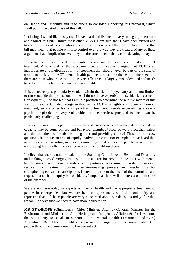on Health and Disability and urge others to consider supporting this proposal, which I will put in the detail phase of this bill.

In closing, I would like to say that I have heard and listened to very strong arguments for and against this bill. Unlike most other MLAs, I am sure that I have been visited and talked to by lots of people who are very deeply concerned that the implications of this bill may mean that people will lose control over the way they are treated. Many of these arguments have implications well beyond the amendments that we are debating today.

In particular, I have heard considerable debate on the benefits and risks of ECT treatment. At one end of the spectrum there are those who argue that ECT is an inappropriate and ineffective form of treatment that should never be part of the suite of treatments offered to ACT mental health patients and at the other end of the spectrum there are those who argue that ECT is very effective but largely misunderstood and needs to be better promoted to become more acceptable.

This controversy is particularly virulent within the field of psychiatry and is not limited to those outside the professional ranks. I do not have expertise in psychiatric treatment. Consequently, I do not feel that I am in a position to determine the relative merits of this form of treatment. I also recognise that, while ECT is a highly controversial form of treatment, so are other forms of psychiatric treatment. People experiencing a severe psychotic episode are very vulnerable and the services provided to them can be particularly challenging.

How do we support people in a respectful and humane way when their decision-making capacity may be compromised and behaviour disturbed? How do we protect their safety and that of others while also building trust and providing choice? These are not easy questions, but this is an area of rapidly evolving practice. For example, I have heard that new models for providing intensive community-based support to people in acute need are proving highly effective as alternatives to hospital-based care.

I believe that there would be value in the Standing Committee on Health and Disability undertaking a broad-ranging inquiry into crisis care for people in the ACT with mental health issues. I see this as a constructive opportunity to examine the systemic issues of service mix, treatment options, decision-making process and mechanisms for strengthening consumer participation. I intend to write to the chair of the committee and request that such an inquiry be considered. I hope that there will be interest on both sides of the chamber.

We are not here today as experts on mental health and the appropriate treatment of people in emergencies, but we are here as representatives of the community and representatives of those people are very concerned about our decisions today. For that reason, I believe that we need to have more deliberation.

**MR STANHOPE** (Ginninderra—Chief Minister, Attorney-General, Minister for the Environment and Minister for Arts, Heritage and Indigenous Affairs) (9.49): I welcome the opportunity to speak in support of the Mental Health (Treatment and Care) Amendment Bill. This bill enables the provision of urgent and necessary treatment to people through and amendment to the current act.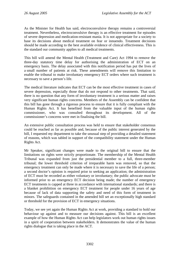As the Minister for Health has said, electroconvulsive therapy remains a controversial treatment. Nevertheless, electroconvulsive therapy is an effective treatment for episodes of severe depression and medication-resistant mania. It is not appropriate for a society to base its decisions about medical treatment on fear or innuendo. Treatment decisions should be made according to the best available evidence of clinical effectiveness. This is the standard our community applies to all medical treatments.

This bill will amend the Mental Health (Treatment and Care) Act 1994 to remove the three-day statutory time delay for authorising the administration of ECT on an emergency basis. The delay associated with this notification period has put the lives of a small number of patients at risk. These amendments will remove this limitation to enable the tribunal to make involuntary emergency ECT orders where such treatment is necessary to save a person's life.

The medical literature indicates that ECT can be the most effective treatment in cases of severe depression, especially those that do not respond to other treatments. That said, there is no question that any form of involuntary treatment is a serious matter and raises very significant human rights concerns. Members of the Assembly can be confident that this bill has gone through a rigorous process to ensure that it is fully compliant with the Human Rights Act. It has benefited from the valuable input of the human rights commissioner, who was consulted throughout its development. All of the commissioner's concerns were met in finalising the bill.

An extensive public consultation process was held to ensure that stakeholder consensus could be reached as far as possible and, because of the public interest generated by the bill, I requested my department to take the unusual step of providing a detailed statement of reasons, which was tabled in support of the compatibility statement under the Human Rights Act.

Mr Speaker, significant changes were made to the original bill to ensure that the limitations on rights were strictly proportionate. The membership of the Mental Health Tribunal was expanded from just the presidential member to a full, three-member tribunal; the lower threshold criterion of irreparable harm was removed, so that the emergency treatment can only be made where it is necessary to save the life of a person; a second doctor's opinion is required prior to seeking an application; the administration of ECT must be recorded as either voluntary or involuntary; the public advocate must be informed prior to an emergency ECT decision being made; the number of emergency ECT treatments is capped at three in accordance with international standards; and there is a blanket prohibition on emergency ECT treatment for people under 16 years of age because of lack of data supporting the safety and need of this form of treatment in minors. The safeguards contained in the amended bill set an exceptionally high standard or threshold for the provision of ECT in emergency situations.

Today, we see yet again the Human Rights Act at work, providing a standard to hold our behaviour up against and to measure our decisions against. This bill is an excellent example of how the Human Rights Act can help legislators work out human rights issues in a spirit of cooperation between stakeholders. It demonstrates the value of the human rights dialogue that is taking place in the ACT.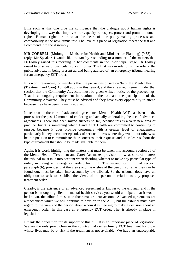Bills such as this one give me confidence that the dialogue about human rights is developing in a way that improves our capacity to respect, protect and promote human rights. Human rights are now at the heart of our policy-making processes and compatibility is the new litmus test. I believe this piece of legislation meets the test and I commend it to the Assembly.

**MR CORBELL** (Molonglo—Minister for Health and Minister for Planning) (9.53), in reply: Mr Speaker, I would like to start by responding to a number of the matters that Dr Foskey raised this morning in her comments in the in-principal stage. Dr Foskey raised two issues of particular concern to her. The first was in relation to the role of the public advocate in being present at, and being advised of, an emergency tribunal hearing for an emergency ECT order.

It is worth reiterating for members that the provisions of section 94 of the Mental Health (Treatment and Care) Act still apply in this regard, and there is a requirement under that section that the Community Advocate must be given written notice of the proceedings. That is an ongoing requirement in relation to the role and the participation of the Community Advocate. They must be advised and they have every opportunity to attend because they have been formally advised.

In relation to the role of advanced agreements, Mental Health ACT has been in the process for the past 12 months of exploring and actually undertaking the use of advanced agreements. There has been mixed success so far, because this is a very new area of practice, but it is something which I and ACT Health are committed to continuing to pursue, because it does provide consumers with a greater level of engagement, particularly if they encounter episodes of serious illness where they would not otherwise be in a position to communicate their concerns, their requests and their desires about the type of treatment that should be made available to them.

Again, it is worth highlighting the matters that must be taken into account. Section 26 of the Mental Health (Treatment and Care) Act makes provision on what sorts of matters the tribunal must take into account when deciding whether to make any particular type of order, including an emergency order, for ECT. The second item in that section, paragraph (b), provides that the views and the wishes of the person, so far as they can be found out, must be taken into account by the tribunal. So the tribunal does have an obligation to seek to establish the views of the person in relation to any proposed treatment order.

Clearly, if the existence of an advanced agreement is known to the tribunal, and if the person is an ongoing client of mental health services you would anticipate that it would be known, the tribunal must take those matters into account. Advanced agreements are a mechanism which we will continue to develop in the ACT, but the tribunal must have regard to the views of the person about whom it is meeting to make a decision about an emergency order, in this case an emergency ECT order. That is already in place in legislation.

I thank the opposition for its support of this bill. It is an important piece of legislation. We are the only jurisdiction in the country that denies timely ECT treatment for those whose lives may be at risk if the treatment is not available. We have an unacceptable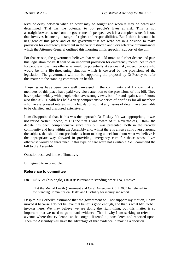level of delay between when an order may be sought and when it may be heard and determined. That has the potential to put people's lives at risk. This is not a straightforward issue from the government's perspective; it is a complex issue. It is one that involves balancing a range of rights and responsibilities. But I think it would be negligent of this place and of the government if we were not in a position to make provision for emergency treatment in the very restricted and very selective circumstances which the Attorney-General outlined this morning in his speech in support of the bill.

For that reason, the government believes that we should move to further debate and pass this legislation today. It will be an important provision for emergency mental health care for people whose lives otherwise would be potentially at serious risk; indeed, people who would be in a life-threatening situation which is covered by the provisions of the legislation. The government will not be supporting the proposal by Dr Foskey to refer this matter to the standing committee on health.

These issues have been very well canvassed in the community and I know that all members of this place have paid very close attention to the provisions of this bill. They have spoken widely with people who have strong views, both for and against, and I know also that ACT Health has held a very comprehensive series of briefings for all members who have expressed interest in this legislation so that any issues of detail have been able to be clarified and discussed extensively.

I am disappointed that, if this was the approach Dr Foskey felt was appropriate, it was not raised earlier. Indeed, this is the first I was aware of it. Nevertheless, I think the debate has been comprehensive since this bill was presented, both in the broader community and here within the Assembly and, whilst there is always controversy around the subject, that should not preclude us from making a decision about what we believe is the appropriate way forward in providing emergency care for those whose lives otherwise would be threatened if this type of care were not available. So I commend the bill to the Assembly.

Question resolved in the affirmative.

Bill agreed to in principle.

### **Reference to committee**

**DR FOSKEY** (Molonglo) (10.00): Pursuant to standing order 174, I move:

That the Mental Health (Treatment and Care) Amendment Bill 2005 be referred to the Standing Committee on Health and Disability for inquiry and report.

Despite Mr Corbell's assurance that the government will not support my motion, I have moved it because I do not believe that belief is good enough, and that is what Mr Corbell invokes here. We may believe we are doing the right thing, but this matter is so important that we need to go to hard evidence. That is why I am seeking to refer it to a venue where that evidence can be sought, listened to, considered and reported upon. Then the Assembly will have the advantage of that evidence in making a decision.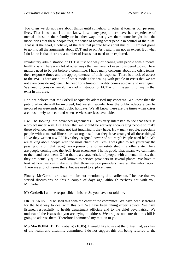Too often we do not care about things until somehow or other it touches our personal lives. That is so true. I do not know how many people here have had experience of mental illness in their family or in other ways that gives them some insight into the insecurities that these people feel, the sense of having other people in control of their life. That is at the heart, I believe, of the fear that people have about this bill. I am not going to go into all the arguments about ECT and so on. As I said, I am not an expert. But what I do know is that there are a number of issues that need to be explored.

Involuntary administration of ECT is just one way of dealing with people with a mental health crisis. There are a lot of other ways that we have not even considered today. These matters need to be put before a committee. I have many concerns about the crisis teams, their response times and the appropriateness of their response. There is a lack of access to the PSU. There are a lot of other models for dealing with people in crisis that we are not even considering here. The need for a time-out facility comes up over and over again. We need to consider involuntary administration of ECT within the gamut of myths that exist in this area.

I do not believe that Mr Corbell adequately addressed my concerns. We know that the public advocate will be involved, but we still wonder how the public advocate can be involved on weekends and public holidays. We all know these are the times when crises are most likely to occur and when services are least available.

I will be looking into advanced agreements. I was very interested to see that there is a project under way. But I feel that we should be actively encouraging people to make these advanced agreements, not just inquiring if they have. How many people, especially people with a mental illness, are so organised that they have arranged all these things? Have they written a will? Have they assigned power of attorney? People need help. We are talking about people with the most chaotic of lives. I was glad to see yesterday the passing of a bill that recognises a power of attorney established in another state. There are people coming into the ACT from elsewhere. That is good. That means we can listen to them and treat them. Often that is a characteristic of people with a mental illness, that they are actually quite well known to service providers in several places. We have to look at how we can make sure that those service providers have all the information. There are a lot of issues there, but we need to explore them.

Finally, Mr Corbell criticised me for not mentioning this earlier on. I believe that we started discussions on this a couple of days ago, although perhaps not with you, Mr Corbell.

**Mr Corbell:** I am the responsible minister. So you have not told me.

**DR FOSKEY**: I discussed this with the chair of the committee. We have been searching for the best way to deal with this bill. We have been taking expert advice. We have listened respectfully to health department officials and to the chief psychiatrist. We understand the issues that you are trying to address. We are just not sure that this bill is going to address them. Therefore I commend my motion to you.

**MS MacDONALD** (Brindabella) (10.05): I would like to say at the outset that, as chair of the health and disability committee, I do not support this bill being referred to the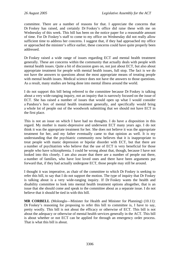committee. There are a number of reasons for that. I appreciate the concerns that Dr Foskey has raised, and certainly Dr Foskey's office did raise these with me on Wednesday of this week. This bill has been on the notice paper for a reasonable amount of time. For Dr Foskey's staff to come to my office on Wednesday did not really allow sufficient time to address her concerns. I suggest that, if they had approached my office or approached the minister's office earlier, these concerns could have quite properly been addressed.

Dr Foskey raised a wide range of issues regarding ECT and mental health treatment generally. These are concerns within the community that actually deals with people with mental health issues. Quite a bit of discussion goes on, not just about ECT, but also about appropriate treatment for people with mental health issues, full stop. The fact is we do not have the answers to questions about the most appropriate means of treating people with mental health issues. Medical science does not have the answers to those questions. As a result, many studies are being done into mental illness around the world.

I do not support this bill being referred to the committee because Dr Foskey is talking about a very wide-ranging inquiry, not an inquiry that is narrowly focused on the issue of ECT. She has raised a number of issues that would open up what I would consider a Pandora's box of mental health treatment generally, and specifically would bring a whole lot of people out of the woodwork submitting that we should not have ECT in the first place.

This is not an issue on which I have had no thoughts. I do have a disposition in this regard. My mother is manic-depressive and underwent ECT many years ago. I do not think it was the appropriate treatment for her. She does not believe it was the appropriate treatment for her, and my father eventually came to that opinion as well. It is my understanding that the psychiatric community now believes that it is inappropriate to treat people with manic depression or bipolar disorder with ECT, but that there are a number of psychiatrists who believe that the use of ECT is very beneficial for those people who have schizophrenia. I could be wrong about that, though, because I have not looked into this closely. I am also aware that there are a number of people out there, a number of families, who have lost loved ones and there have been arguments put forward that, if they had actually undergone ECT, those people may still be around.

I thought it was imperative, as chair of the committee to which Dr Foskey is seeking to refer this bill, to say that I do not support the motion. The type of inquiry that Dr Foskey is talking about is a very wide-ranging inquiry. If Dr Foskey wants the health and disability committee to look into mental health treatment options altogether, that is an issue that she should come and speak to the committee about as a separate issue. I do not believe that it should be tied in with this bill.

**MR CORBELL** (Molonglo—Minister for Health and Minister for Planning) (10.11): Dr Foskey's reasoning for proposing to refer this bill to committee is, I have to say, pretty woolly. This bill is not about the efficacy or otherwise of ECT. This bill is not about the adequacy or otherwise of mental health services generally in the ACT. This bill is about whether or not ECT can be applied for through an emergency order process. That is what this bill is about.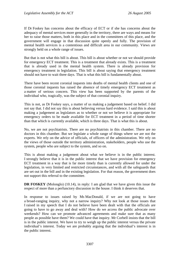If Dr Foskey has concerns about the efficacy of ECT or if she has concerns about the adequacy of mental services more generally in the territory, there are ways and means for her to raise those matters, both in this place and in the committees of this place, and the government will engage in that discussion quite openly and fully. The provision of mental health services is a contentious and difficult area in our community. Views are strongly held on a whole range of issues.

But that is not what this bill is about. This bill is about whether or not we should provide for emergency ECT treatment. This is a treatment that already exists. This is a treatment that is already used in the mental health system. There is already provision for emergency treatment in legislation. This bill is about saying that emergency treatment should not have to wait three days. That is what this bill is fundamentally about.

There have been recent coronial inquests into deaths of mental health clients and one of those coronial inquests has raised the absence of timely emergency ECT treatment as a matter of serious concern. This view has been supported by the parents of the individual who, tragically, was the subject of that coronial inquiry.

This is not, as Dr Foskey says, a matter of us making a judgement based on belief. I did not say that. I did not say this is about believing versus hard evidence. I said this is about making a judgement as legislators as to whether or not we believe it is appropriate for emergency orders to be made available for ECT treatment in a period of time shorter than that which is currently available, which is three days. That is what this is about.

No, we are not psychiatrists. There are no psychiatrists in this chamber. There are no doctors in this chamber. But we legislate a whole range of things where we are not the experts. We rely on the advice of officials, of officers of the administration. We rely on the views of those outside the territory administration, stakeholders, people who use the system, people who are subject to the system, and so on.

This is about making a judgement about what we believe is in the public interest. I strongly believe that it is in the public interest that we have provision for emergency ECT treatment in a way that is far more timely than is currently allowed for under the legislation, in very limited and restricted circumstances, and with all the safeguards that are set out in the bill and in the existing legislation. For that reason, the government does not support this referral to the committee.

**DR FOSKEY** (Molonglo) (10.14), in reply: I am glad that we have given this issue the respect of more than a perfunctory discussion in the house. I think it deserves that.

In response to issues raised by Ms MacDonald, if we are not going to have a broad-ranging inquiry, why not a narrow inquiry? Why not look at those issues that I raised in my speech that I do not believe have been dealt with that the officials are going to have to go away and deal with? How do we access the public advocate over weekends? How can we promote advanced agreements and make sure that as many people as possible have them? We could have that inquiry. Mr Corbell insists that the bill is in the public interest. We have to try to weigh up the public interest versus the private individual's interest. Today we are probably arguing that the individual's interest is in the public interest.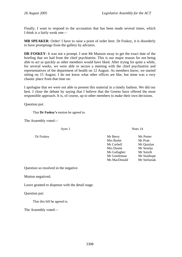Finally, I want to respond to the accusation that has been made several times, which I think is a fairly weak one—

**MR SPEAKER**: Order! I have to raise a point of order here. Dr Foskey, it is disorderly to have promptings from the gallery by advisers.

**DR FOSKEY**: It was not a prompt. I sent Mr Manson away to get the exact date of the briefing that we had from the chief psychiatrist. This is our major reason for not being able to act as quickly as other members would have liked. After trying for quite a while, for several weeks, we were able to secure a meeting with the chief psychiatrist and representatives of the department of health on 12 August. As members know, we started sitting on 15 August. I do not know what other offices are like, but mine was a very chaotic place from that time on.

I apologise that we were not able to present this material in a timely fashion. We did our best. I close the debate by saying that I believe that the Greens have offered the most responsible approach. It is, of course, up to other members to make their own decisions.

Question put:

That **Dr Foskey's** motion be agreed to.

The Assembly voted—

- Ayes 1 Noes 14
- Dr Foskey Mr Berry Ms Porter Mrs Burke Mr Pratt Mr Corbell Mr Quinlan Mrs Dunne Mr Seselja Ms Gallagher Mr Smyth Mr Gentleman Mr Stanhope Ms MacDonald Mr Stefaniak

Question so resolved in the negative.

Motion negatived.

Leave granted to dispense with the detail stage.

Question put:

That this bill be agreed to.

The Assembly voted—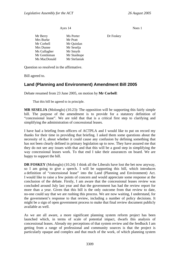Ayes 14 Noes 1

<span id="page-14-0"></span>Mr Berry Ms Porter Dr Foskey Mrs Burke Mr Pratt Mr Corbell Mr Quinlan Mrs Dunne Mr Seselja Ms Gallagher Mr Smyth Mr Gentleman Mr Stanhope Ms MacDonald Mr Stefaniak

Question so resolved in the affirmative.

Bill agreed to.

## **Land (Planning and Environment) Amendment Bill 2005**

Debate resumed from 23 June 2005, on motion by **Mr Corbell**:

That this bill be agreed to in principle.

**MR SESELJA** (Molonglo) (10.23): The opposition will be supporting this fairly simple bill. The purpose of the amendment is to provide for a statutory definition of "concessional lease". We are told that that is a critical first step to clarifying and simplifying the administration of concessional leases.

I have had a briefing from officers of ACTPLA and I would like to put on record my thanks for their time in providing that briefing. I asked them some questions about the necessity of it, about whether it could cause any confusion by defining something that has not been clearly defined in primary legislation up to now. They have assured me that they do not see any issues with that and that this will be a good step in simplifying the way concessional leases work. To that end I take their assurances on board. We are happy to support the bill.

**DR FOSKEY** (Molonglo) (10.24): I think all the Liberals have lost the bet now anyway, so I am going to give a speech. I will be supporting this bill, which introduces a definition of "concessional lease" into the Land (Planning and Environment) Act. I would like to raise a few points of concern and would appreciate some response at the conclusion of the debate. Firstly, I am aware that the concessional leases review was concluded around July last year and that the government has had the review report for more than a year. Given that this bill is the only outcome from that review to date, no-one could say that we are rushing this process. We are now waiting, I understand, for the government's response to that review, including a number of policy decisions. It might be a sign of open government process to make that final review document publicly available as well.

As we are all aware, a more significant planning system reform project has been launched which, in terms of scale of potential impact, dwarfs this analysis of concessional leases. Already my perceptions of that system review and the feedback I am getting from a range of professional and community sources is that the project is particularly opaque and complex and that much of the work, of which planning system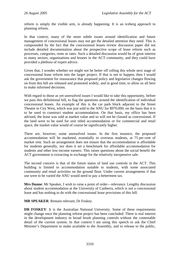reform is simply the visible arm, is already happening. It is an iceberg approach to planning reform.

In that context, many of the more subtle issues around identification and future management of concessional leases may not get the detailed attention they need. This is compounded by the fact that the concessional leases review discussion paper did not include detailed documentation about the prospective scope of lease reform such as processes, categories, rents or rates. Such a detailed discussion would be of great interest to many sectors, organisations and lessees in the ACT community, and they could have provided a plethora of expert advice.

Given that, I wonder whether we might not be better off rolling this whole next stage of concessional lease reform into the larger project. If that is not to happen, then I would ask the government for reassurance that proposed policy and legislative changes flowing on from this bill are released and promoted widely, and in good time, to allow us all here to make informed decisions.

With regard to those as yet unresolved issues I would like to take this opportunity, before we pass this definitional bill, to flag the questions around the identification of individual concessional leases. An example of this is the car park block adjacent to the Street Theatre in City West, which was just sold to the ANU for \$970,000, on the basis that it is to be used to construct student accommodation. On that basis, my office has been advised, the lease was sold at market value and so will not be classed as concessional. If the land were to be used for unit titled accommodation or for commercial and retail space, the market value would of course be significantly higher.

There are, however, some unresolved issues. In the first instance, the proposed accommodation will be marketed, essentially to overseas students, at 75 per cent of market rent. Such an arrangement does not ensure that the accommodation is affordable for students generally, nor does it set a benchmark for affordable accommodation for students and other low-income earners. This raises questions about the social benefit the ACT government is extracting in exchange for the relatively inexpensive sale.

The second concern is that of the future status of land use controls in the ACT. This building is limited to accommodation suitable to students, with some associated community and retail activities on the ground floor. Under current arrangements if that use were to be varied the ANU would need to pay a betterment tax.

**Mrs Dunne**: Mr Speaker, I wish to raise a point of order—relevance. Lengthy discussion about student accommodation at the University of Canberra, which is not a concessional lease and has nothing to do with the concessional lease provisions of this bill.

**MR SPEAKER**: Remain relevant, Dr Foskey.

**DR FOSKEY:** It is the Australian National University. Some of these requirements might change once the planning reform project has been concluded. There is real interest in the development industry in broad brush planning controls without the contestable detail of the current system. In that context I am using this speech to ask the Chief Minister's Department to make available to the Assembly, and to release to the public,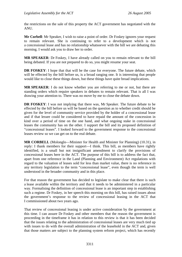the restrictions on the sale of this property the ACT government has negotiated with the ANU.

**Mr Corbell**: Mr Speaker, I wish to raise a point of order. Dr Foskey ignores your request to remain relevant. She is continuing to refer to a development which is not a concessional lease and has no relationship whatsoever with the bill we are debating this morning. I would ask you to draw her to order.

**MR SPEAKER**: Dr Foskey, I have already called on you to remain relevant to the bill being debated. If you are not prepared to do so, you might resume your seat.

**DR FOSKEY**: I hope that that will be the case for everyone. The future debate, which will be effected by the bill before us, is a broad ranging one. It is interesting that people would like to close these things down, but these things have quite broad implications.

**MR SPEAKER**: I do not know whether you are referring to me or not, but there are standing orders which require speakers in debates to remain relevant. That is all I was drawing your attention to. There was no move by me to close the debate down.

**DR FOSKEY**: I was not implying that there was, Mr Speaker. The future debate to be effected by the bill before us will be based on the question as to whether credit should be given for the level of community service provided by the holder of a concessional lease and if that lessee could be considered to have repaid the amount of the concession in kind over a period of time on the one hand, and what ongoing stake in concessional leases the community has on the other. I support the bill and its proposed definition of "concessional leases". I looked forward to the government response to the concessional leases review so we can get on to the real debate.

**MR CORBELL** (Molonglo—Minister for Health and Minister for Planning) (10.31), in reply: I thank members for their support—I think. This bill, as members have rightly identified, is a small but not insignificant amendment to clarify the provisions of concessional leases here in the ACT. The purpose of this bill is to address the fact that, apart from one reference in the Land (Planning and Environment) Act regulations with regard to the valuation of leases sold for less than market value, there is no reference in any territory legislation to the term "concessional lease", even though the term is well understood in the broader community and in this place.

For that reason the government has decided to legislate to make clear that there is such a lease available within the territory and that it needs to be administered in a particular way. Formalising the definition of concessional lease is an important step in establishing such a regime. Dr Foskey, in her speech this morning on this bill, has raised issues about the government's response to the review of concessional leasing in the ACT that I commissioned about two years ago.

That review of concessional leasing is under active consideration by the government at this time. I can assure Dr Foskey and other members that the reason the government is proceeding in the timeframe it has in relation to this review is that it has been decided that the issues relating to the administration of concessional leases are very much tied up with issues to do with the overall administration of the leasehold in the ACT and, given that those matters are subject to the planning system reform project, which has recently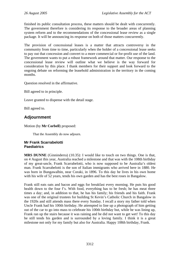<span id="page-17-0"></span>finished its public consultation process, these matters should be dealt with concurrently. The government therefore is considering its response to the broader areas of planning system reform and to the recommendations of the concessional lease review as a single package. It will be announcing its response on both of those matters concurrently.

The provision of concessional leases is a matter that attracts controversy in the community from time to time, particularly when the holder of a concessional lease seeks to pay out that concession and convert to a more commercial or for-profit use of the land. The government wants to put a robust framework around that matter. Our response to the concessional lease review will outline what we believe is the way forward for consideration by this place. I thank members for their support and look forward to the ongoing debate on reforming the leasehold administration in the territory in the coming months.

Question resolved in the affirmative.

Bill agreed to in principle.

Leave granted to dispense with the detail stage.

Bill agreed to.

### **Adjournment**

Motion (by **Mr Corbell**) proposed:

That the Assembly do now adjourn.

#### **Mr Frank Scarrabelotti Paediatrics**

**MRS DUNNE** (Ginninderra) (10.35): I would like to touch on two things. One is that, on 4 August this year, Australia reached a milestone and that was with the 108th birthday of my great-uncle, Frank Scarrabelotti, who is now supposed to be Australia's oldest man. Frank Scarrabelotti is the son of Italian immigrants who arrived here in 1880. He was born in Bungawalbin, near Coraki, in 1896. To this day he lives in his own home with his wife of 52 years, tends his own garden and has the best roses in Bangalow.

Frank still eats oats and bacon and eggs for breakfast every morning. He puts his good health down to the four f's. With food, everything has to be fresh; he has meat three times a day; and, in addition to that, he has his family; his friends and his faith. Frank was one of the original trustees for building St Kevin's Catholic Church in Bangalow in the 1920s and still attends mass there every Sunday. I recall a story my father told when Uncle Frank had his 100th birthday. He attempted to line up a photograph of him getting out of the car to go into mass to celebrate his 100th birthday but, while he was lining up, Frank ran up the stairs because it was raining and he did not want to get wet! To this day he still tends his garden and is surrounded by a loving family. I think it is a great milestone not only for my family but also for Australia. Happy 108th birthday, Frank.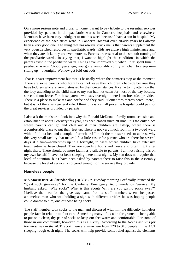<span id="page-18-0"></span>On a more serious note and closer to home, I want to pay tribute to the essential services provided by parents in the paediatric wards in Canberra hospitals and elsewhere. Members have been very indulgent to me this week because I have a son in hospital. My experience of the paediatrics ward in Canberra Hospital over 20-odd years has always been a very good one. The thing that has always struck me is that parents supplement the very overstretched resources in paediatric wards. Kids are always high maintenance and, when they are sick, they are even more so. Parents are essential to the smooth running of the paediatric wards. In saying that, I want to highlight the conditions in which the parents exist in the paediatric ward. Things have improved but, when I first spent time in paediatric wards 20-odd years ago, you got a reasonably comfy armchair to sleep in sitting up—overnight. We now get fold-out beds.

That is a vast improvement but that is basically where the comforts stop at the moment. There are some parents who literally cannot leave their children's bedside because they have toddlers who are very distressed by their circumstances. It came to my attention that the lady attending to the child next to my son had not eaten for most of the day because she could not leave. For those parents who stay overnight there is no breakfast provided. There is a place to make tea and coffee and they said, "Sometimes there's cereal there," but it is not there as a general rule. I think this is a small price the hospital could pay for the great services provided by parents.

I also ask the minister to look into why the Ronald McDonald family room, set aside and established in about February this year, has been closed since 28 June. It is the only place where parents can go and chill out if their children are asleep, where there is a comfortable place to put their feet up. There is not very much room in a two-bed ward with a fold-out bed and a couple of armchairs! I think the minister needs to address why this very small facility that makes life a little easier for parents who are there for several days at a time—sometimes up to a fortnight, in cases where children have extensive treatment—has been closed. They are spending hours and hours and often night after night there. There should be more facilities available to parents. I am not raising this on my own behalf. I have not been sleeping there most nights. My son does not require that level of attention, but I have been asked by parents there to raise this in the Assembly because the level of service is not good enough for the service they provide.

#### **Homeless people**

**MS MacDONALD** (Brindabella) (10.39): On Tuesday morning I officially launched the "great sock giveaway" for the Canberra Emergency Accommodation Service. My husband asked, "Why socks? What is this about? Why are you giving socks away?" I believe the idea for the giveaway came from a staff member, when she passed a homeless man who was holding a sign with different articles he was hoping people could donate to him, one of those being socks.

The staff member took socks to the man and discussed with him the difficulty homeless people face in relation to foot care. Something many of us take for granted is being able to put on a clean, dry pair of socks to keep our feet warm and comfortable. For some of those in our community, however, this is a luxury. According to the *Needs analysis for homelessness in the ACT* report there are anywhere from 120 to 315 people in the ACT sleeping rough each night. The socks will help provide some relief against the elements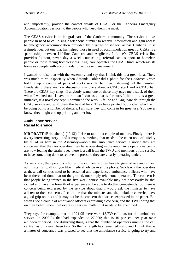<span id="page-19-0"></span>and, importantly, provide the contact details of CEAS, or the Canberra Emergency Accommodation Service, to the people who need them the most.

The CEAS service is an integral part of the Canberra community. The service allows people in need to call a single telephone number to receive information and gain access to emergency accommodation provided by a range of shelters across Canberra. It is a simple idea but one that has helped those in need of accommodation greatly. CEAS is a partnership between Lifeline Canberra and Anglicare. Lifeline's CEAS crisis line provides 24-hour, seven day a week counselling, referrals and support to homeless people or those facing homelessness. Anglicare operates the CEAS fund, which assists homeless people with accommodation and case management.

I wanted to raise that with the Assembly and say that I think this is a great idea. There was much mirth, especially when Amanda Tobler did a photo for the *Canberra Times*  holding up a couple of pairs of socks next to her head, showing off the number. I understand there are now discussions in place about a CEAS scarf and a CEAS hat. There are CEAS key rings. If anybody wants one of those they gave me a stack of them when I walked out. I have more than I can use; that is for sure. I think this is a great initiative, if a novel concept. I commend the work Lifeline and Anglicare do through the CEAS service and wish them the best of luck. They have printed 600 socks, which will be going out to a number of shelters. I am sure they will come in for great use. You never know: they might end up printing another lot.

#### **Ambulance service Racial tolerance**

**MR PRATT** (Brindabella) (10.43): I rise to talk on a couple of matters. Firstly, there is a very interesting story—and it may be something that needs to be taken note of quickly by all of us here in the Assembly—about the ambulance service. I notice they are concerned that the two operators they have operating in the ambulance operations centre are now feeling the strain. I see there is a call from the TWU and members of the service to have something done to relieve the pressure they are clearly operating under.

As we know, the operators who run the call centre often have to give advice and almost administer, virtually if you like, medical advice over the phone. So clearly the operators at these call centres need to be seasoned and experienced ambulance officers who have been there and done that on the ground, not simply telephone operators. The concern is that people being trained in the five-week course available may not necessarily be that skilled and have the breadth of experience to be able to do that competently. So there is concern being expressed by the service about that. I would ask the minister to have a listen to their concerns. It could be that the minister and the ambulance service have a good grip on this and it may not be the concern that we see expressed in the paper. But when I see a couple of ambulance officers expressing a concern, and the TWU doing that on their behalf, then I believe it is a serious matter that needs to be examined.

They say, for example, that in 1994-95 there were 13,739 call-outs for the ambulance service. In 2003-04 that had expanded to 27,000; that is 10 per cent per year over a nine-year period. The disturbing thing is that the number of operators running the call centre has only ever been two. So their strength has remained static and I think that is a matter of concern. I was pleased to see that the ambulance service is going to try and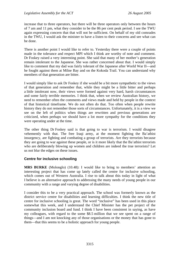<span id="page-20-0"></span>increase that to three operators, but there will be three operators only between the hours of 7 am and 11 pm, what they consider to be the 86 per cent peak period. I see the TWU again expressing concern that that will not be sufficient. On behalf of my old comrades in the TWU, I would ask the minister to have a listen to their concerns and see what can be done.

There is another point I would like to refer to. Yesterday there were a couple of points made in the tolerance and respect MPI which I think are worthy of note and comment. Dr Foskey raised a very interesting point. She said that many of her mother's generation remain intolerant to the Japanese. She was rather concerned about that. I would simply like to comment that my dad was fairly tolerant of the Japanese after World War II—and he fought against them at Milne Bay and on the Kokoda Trail. You can understand why members of that generation are bitter.

I would simply like to ask Dr Foskey if she would be a bit more sympathetic to the views of that generation and remember that, while they might be a little bitter and perhaps a little intolerant now, their views were formed against very hard, harsh circumstances and some fairly terrible memories. I think that, when we review Australian history, we need to remember often the comments and views made and held by people in the context of that historical timeframe. We do not often do that. Too often when people rewrite history they do not remember those sorts of circumstances. Unfortunately, it is a view we see on the left of politics when things are rewritten and previous generations are criticized, when perhaps we should have a lot more sympathy for the conditions they were operating under at the time.

The other thing Dr Foskey said is that going to war is terrorism. I would disagree vehemently with that. The free Iraqi army, at the moment fighting the Ba'athist insurgency, are fighting and combating a group of terrorists. Are they terrorists because they are going to war against these people, or is it more likely that the Ba'athist terrorists who are deliberately blowing up women and children are indeed the true terrorists? Let us not blur the edges on these issues.

### **Centre for inclusive schooling**

**MRS BURKE** (Molonglo) (10.48): I would like to bring to members' attention an interesting project that has come up lately called the centre for inclusive schooling, which comes out of Western Australia. I rise to talk about this today in light of what I believe is an alternative approach to addressing the many needs of young people in our community with a range and varying degree of disabilities.

I consider this to be a very practical approach. The school was formerly known as the district service centre for disabilities and learning difficulties. I think the new title of centre for inclusive schooling is great. The word "inclusive" has been used in this place somewhat this week, and I understand the Chief Minister has the pet project of the community inclusion board and fund. I think I have been consistent in saying, as have my colleagues, with regard to the some \$8.5 million that we see spent on a range of things—and I am not knocking any of those organisations or the money that has gone to them—that this seems to be a holistic approach for young people.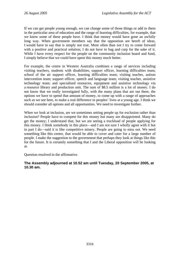If we can get people young enough, we can change some of those things or add to them in the particular area of education and the range of learning difficulties, for example, that we know some of these people have. I think that money would have gone an awfully long way. When government members say that the opposition are bereft of ideas, I would have to say that is simply not true. More often than not I try to come forward with a positive and practical solution; I do not have to bag and carp for the sake of it. While I have every respect for the people on the community inclusion board and fund, I simply believe that we could have spent this money much better.

For example, the centre in Western Australia combines a range of services including visiting teachers, students with disabilities; support officer, learning difficulties team; school of the air support officer, learning difficulties team; visiting teacher, autism intervention team; support officer, speech and language team; visiting teacher, assistive technology team; and specialised resources, equipment and assistive technology via a resource library and production unit. The sum of \$8.5 million is a lot of money. I do not know that we really investigated fully, with the many plans that are out there, the options we have to spend that amount of money, to come up with a range of approaches such as we see here, to make a real difference in peoples' lives at a young age. I think we should consider all options and all opportunities. We need to investigate further.

When we look at inclusion, are we sometimes setting people up for exclusion rather than inclusion? People have to compete for this money but many are disappointed. Many do get the money; I understand that, but we are seeing a truckload of people applying for this money. I think somebody in this place—and I am not sure I wholly agree with it but in part I do—said it is like competitive misery. People are going to miss out. We need something like this centre, that would be able to cover and cater for a large number of people. I make the suggestion to the government that perhaps they look at things like this for the future. It is certainly something that I and the Liberal opposition will be looking at.

Question resolved in the affirmative.

#### **The Assembly adjourned at 10.52 am until Tuesday, 20 September 2005, at 10.30 am.**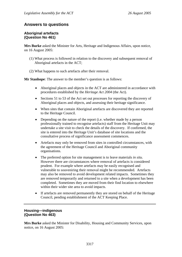## <span id="page-22-0"></span>**Answers to questions**

#### **Aboriginal artefacts (Question No 461)**

**Mrs Burke** asked the Minister for Arts, Heritage and Indigenous Affairs, upon notice, on 16 August 2005:

- (1) What process is followed in relation to the discovery and subsequent removal of Aboriginal artefacts in the ACT;
- (2) What happens to such artefacts after their removal.

**Mr Stanhope**: The answer to the member's question is as follows:

- Aboriginal places and objects in the ACT are administered in accordance with procedures established by the *Heritage Act 2004* (the Act).
- Sections 51 to 53 of the Act set out processes for reporting the discovery of Aboriginal places and objects, and assessing their heritage significance.
- When sites that contain Aboriginal artefacts are discovered they are reported to the Heritage Council.
- Depending on the nature of the report (i.e. whether made by a person professionally trained to recognise artefacts) staff from the Heritage Unit may undertake a site visit to check the details of the discovery. If confirmed, the site is entered into the Heritage Unit's database of site locations and the consultative process of significance assessment commences.
- Artefacts may only be removed from sites in controlled circumstances, with the agreement of the Heritage Council and Aboriginal community organisations.
- The preferred option for site management is to leave materials *in situ*. However there are circumstances where removal of artefacts is considered prudent. For example where artefacts may be easily recognised and vulnerable to souveniring their removal might be recommended. Artefacts may also be removed to avoid development related impacts. Sometimes they are removed temporarily and returned to a site when a development has been completed. Sometimes they are moved from their find location to elsewhere within their wider site area to avoid impacts.
- If artefacts are removed permanently they are stored on behalf of the Heritage Council, pending establishment of the ACT Keeping Place.

### **Housing—indigenous (Question No 463)**

**Mrs Burke** asked the Minister for Disability, Housing and Community Services, upon notice, on 16 August 2005: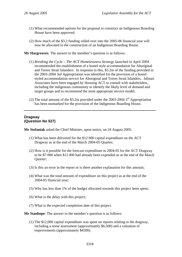- <span id="page-23-0"></span>(1) What recommended options for the proposal to construct an Indigenous Boarding House have been approved;
- (2) How much of the \$3.2 funding rolled over into the 2005-06 financial year will now be allocated to the construction of an Indigenous Boarding House.

**Mr Hargreaves**: The answer to the member's question is as follows:

- (1) *Breaking the Cycle The ACT Homelessness Strategy* launched in April 2004 recommended the establishment of a hostel style accommodation for Aboriginal and Torres Strait Islanders. In response to this, \$3.2m of the funding provided in the 2003-2004 3rd Appropriation was identified for the provision of a hostel styled accommodation service for Aboriginal and Torres Strait Islanders. Jalinari Associates have been engaged by Housing ACT to consult with stakeholders, including the indigenous community to identify the likely level of demand and target groups and to recommend the most appropriate service model.
- (2) The total amount of the \$3.2m provided under the 2003-2004  $3<sup>rd</sup>$  Appropriation has been earmarked for the provision of the Indigenous Boarding House.

#### **Dragway (Question No 527)**

**Mr Stefaniak** asked the Chief Minister, upon notice, on 24 August 2005:

- (1) What has been delivered for the \$12 000 capital expenditure on the ACT Dragway as at the end of the March 2004-05 Quarter;
- (2) How is it possible for the forecast expenditure in 2004-05 for the ACT Dragway to be \$7 000 when \$12 000 had already been expended as at the end of the March Quarter;
- (3) Is this an error in the report or is there another explanation for this amount;
- (4) What was the total amount of expenditure on this project as at the end of the 2004-05 financial year;
- (5) Why has less than 1% of the budget allocated towards this project been spent;
- (6) What is the delay with this project;
- (7) What is the expected completion date of this project.

**Mr Stanhope**: The answer to the member's question is as follows:

(1) The \$12,000 capital expenditure was spent on reports relating to the dragway, including a noise assessment (approximately \$6,500) and a valuation of improvements (approximately \$4500).